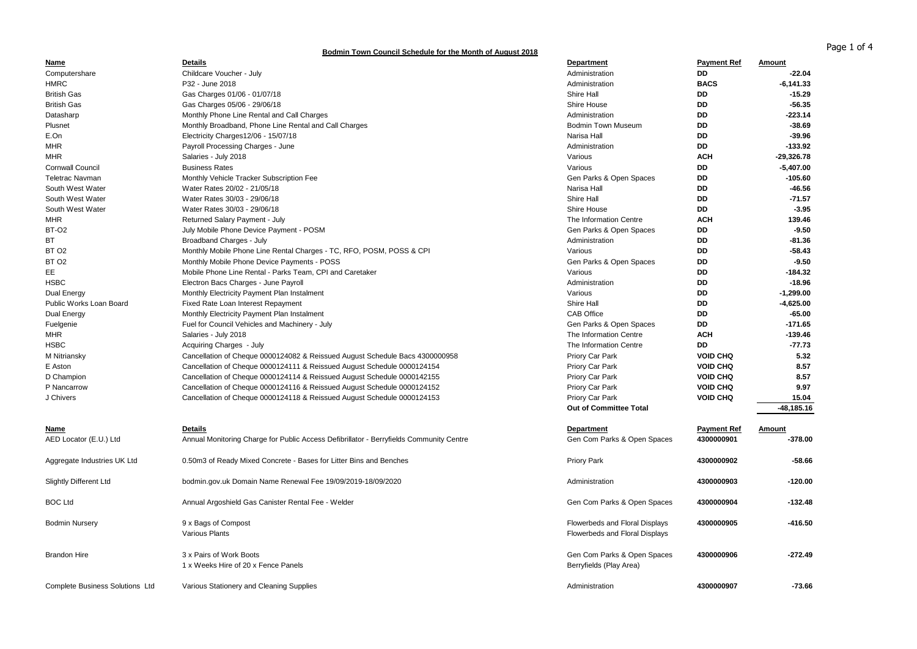## **Bodmin Town Council Schedule for the Month of August 2018**

| Name                                   | <b>Details</b>                                                                          | <b>Department</b>                                                | <b>Payment Ref</b> | Amount       |
|----------------------------------------|-----------------------------------------------------------------------------------------|------------------------------------------------------------------|--------------------|--------------|
| Computershare                          | Childcare Voucher - July                                                                | Administration                                                   | <b>DD</b>          | $-22.04$     |
| <b>HMRC</b>                            | P32 - June 2018                                                                         | Administration                                                   | <b>BACS</b>        | $-6, 141.33$ |
| <b>British Gas</b>                     | Gas Charges 01/06 - 01/07/18                                                            | Shire Hall                                                       | <b>DD</b>          | $-15.29$     |
| <b>British Gas</b>                     | Gas Charges 05/06 - 29/06/18                                                            | Shire House                                                      | DD                 | $-56.35$     |
| Datasharp                              | Monthly Phone Line Rental and Call Charges                                              | Administration                                                   | DD                 | $-223.14$    |
| Plusnet                                | Monthly Broadband, Phone Line Rental and Call Charges                                   | <b>Bodmin Town Museum</b>                                        | DD                 | $-38.69$     |
| E.On                                   | Electricity Charges12/06 - 15/07/18                                                     | Narisa Hall                                                      | <b>DD</b>          | $-39.96$     |
| <b>MHR</b>                             | Payroll Processing Charges - June                                                       | Administration                                                   | <b>DD</b>          | $-133.92$    |
| <b>MHR</b>                             | Salaries - July 2018                                                                    | Various                                                          | <b>ACH</b>         | $-29,326.78$ |
| <b>Cornwall Council</b>                | <b>Business Rates</b>                                                                   | Various                                                          | DD                 | $-5,407.00$  |
| <b>Teletrac Navman</b>                 | Monthly Vehicle Tracker Subscription Fee                                                | Gen Parks & Open Spaces                                          | DD.                | $-105.60$    |
| South West Water                       | Water Rates 20/02 - 21/05/18                                                            | Narisa Hall                                                      | DD                 | $-46.56$     |
| South West Water                       | Water Rates 30/03 - 29/06/18                                                            | Shire Hall                                                       | <b>DD</b>          | $-71.57$     |
| South West Water                       | Water Rates 30/03 - 29/06/18                                                            | Shire House                                                      | DD                 | $-3.95$      |
| <b>MHR</b>                             | Returned Salary Payment - July                                                          | The Information Centre                                           | <b>ACH</b>         | 139.46       |
| <b>BT-02</b>                           | July Mobile Phone Device Payment - POSM                                                 | Gen Parks & Open Spaces                                          | DD                 | $-9.50$      |
| BT                                     | Broadband Charges - July                                                                | Administration                                                   | <b>DD</b>          | $-81.36$     |
| BT <sub>O2</sub>                       | Monthly Mobile Phone Line Rental Charges - TC, RFO, POSM, POSS & CPI                    | Various                                                          | DD                 | $-58.43$     |
| BT <sub>O2</sub>                       | Monthly Mobile Phone Device Payments - POSS                                             | Gen Parks & Open Spaces                                          | DD                 | $-9.50$      |
| EE                                     | Mobile Phone Line Rental - Parks Team, CPI and Caretaker                                | Various                                                          | DD                 | $-184.32$    |
| <b>HSBC</b>                            | Electron Bacs Charges - June Payroll                                                    | Administration                                                   | DD                 | $-18.96$     |
| Dual Energy                            | Monthly Electricity Payment Plan Instalment                                             | Various                                                          | <b>DD</b>          | $-1,299.00$  |
| Public Works Loan Board                | Fixed Rate Loan Interest Repayment                                                      | Shire Hall                                                       | <b>DD</b>          | $-4,625.00$  |
| Dual Energy                            | Monthly Electricity Payment Plan Instalment                                             | <b>CAB Office</b>                                                | <b>DD</b>          | $-65.00$     |
|                                        |                                                                                         |                                                                  | <b>DD</b>          | -171.65      |
| Fuelgenie                              | Fuel for Council Vehicles and Machinery - July                                          | Gen Parks & Open Spaces<br>The Information Centre                | <b>ACH</b>         | -139.46      |
| MHR                                    | Salaries - July 2018                                                                    |                                                                  | DD                 | $-77.73$     |
| <b>HSBC</b>                            | Acquiring Charges - July                                                                | The Information Centre                                           | <b>VOID CHQ</b>    | 5.32         |
| M Nitriansky                           | Cancellation of Cheque 0000124082 & Reissued August Schedule Bacs 4300000958            | Priory Car Park                                                  |                    |              |
| E Aston                                | Cancellation of Cheque 0000124111 & Reissued August Schedule 0000124154                 | Priory Car Park                                                  | <b>VOID CHQ</b>    | 8.57         |
| D Champion                             | Cancellation of Cheque 0000124114 & Reissued August Schedule 0000142155                 | Priory Car Park                                                  | <b>VOID CHQ</b>    | 8.57         |
| P Nancarrow                            | Cancellation of Cheque 0000124116 & Reissued August Schedule 0000124152                 | Priory Car Park                                                  | <b>VOID CHQ</b>    | 9.97         |
| J Chivers                              | Cancellation of Cheque 0000124118 & Reissued August Schedule 0000124153                 | Priory Car Park                                                  | <b>VOID CHQ</b>    | 15.04        |
|                                        |                                                                                         | <b>Out of Committee Total</b>                                    |                    | -48,185.16   |
| Name                                   | <b>Details</b>                                                                          | <b>Department</b>                                                | <b>Payment Ref</b> | Amount       |
| AED Locator (E.U.) Ltd                 | Annual Monitoring Charge for Public Access Defibrillator - Berryfields Community Centre | Gen Com Parks & Open Spaces                                      | 4300000901         | $-378.00$    |
|                                        |                                                                                         |                                                                  |                    |              |
| Aggregate Industries UK Ltd            | 0.50m3 of Ready Mixed Concrete - Bases for Litter Bins and Benches                      | <b>Priory Park</b>                                               | 4300000902         | $-58.66$     |
| <b>Slightly Different Ltd</b>          | bodmin.gov.uk Domain Name Renewal Fee 19/09/2019-18/09/2020                             | Administration                                                   | 4300000903         | $-120.00$    |
| <b>BOC Ltd</b>                         | Annual Argoshield Gas Canister Rental Fee - Welder                                      | Gen Com Parks & Open Spaces                                      | 4300000904         | $-132.48$    |
| <b>Bodmin Nursery</b>                  | 9 x Bags of Compost<br><b>Various Plants</b>                                            | Flowerbeds and Floral Displays<br>Flowerbeds and Floral Displays | 4300000905         | -416.50      |
| <b>Brandon Hire</b>                    | 3 x Pairs of Work Boots<br>1 x Weeks Hire of 20 x Fence Panels                          | Gen Com Parks & Open Spaces<br>Berryfields (Play Area)           | 4300000906         | $-272.49$    |
| <b>Complete Business Solutions Ltd</b> | Various Stationery and Cleaning Supplies                                                | Administration                                                   | 4300000907         | $-73.66$     |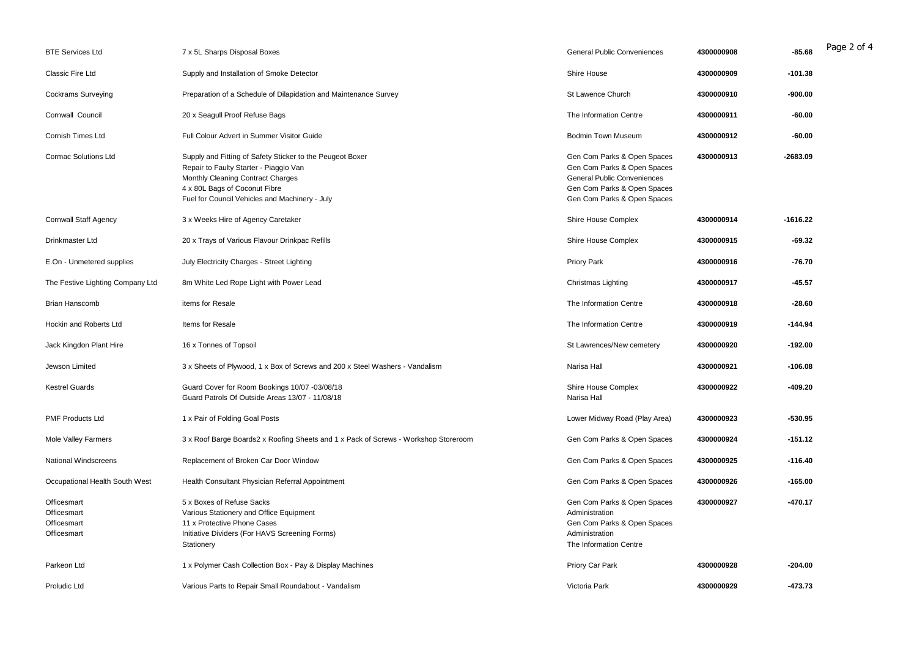| <b>BTE Services Ltd</b>                                  | 7 x 5L Sharps Disposal Boxes                                                                                                                                                                                                | General Public Conveniences                                                                                                                                    | 4300000908 | $-85.68$   | Page 2 of 4 |
|----------------------------------------------------------|-----------------------------------------------------------------------------------------------------------------------------------------------------------------------------------------------------------------------------|----------------------------------------------------------------------------------------------------------------------------------------------------------------|------------|------------|-------------|
| Classic Fire Ltd                                         | Supply and Installation of Smoke Detector                                                                                                                                                                                   | Shire House                                                                                                                                                    | 4300000909 | $-101.38$  |             |
| <b>Cockrams Surveying</b>                                | Preparation of a Schedule of Dilapidation and Maintenance Survey                                                                                                                                                            | St Lawence Church                                                                                                                                              | 4300000910 | $-900.00$  |             |
| Cornwall Council                                         | 20 x Seagull Proof Refuse Bags                                                                                                                                                                                              | The Information Centre                                                                                                                                         | 4300000911 | $-60.00$   |             |
| Cornish Times Ltd                                        | Full Colour Advert in Summer Visitor Guide                                                                                                                                                                                  | <b>Bodmin Town Museum</b>                                                                                                                                      | 4300000912 | $-60.00$   |             |
| <b>Cormac Solutions Ltd</b>                              | Supply and Fitting of Safety Sticker to the Peugeot Boxer<br>Repair to Faulty Starter - Piaggio Van<br>Monthly Cleaning Contract Charges<br>4 x 80L Bags of Coconut Fibre<br>Fuel for Council Vehicles and Machinery - July | Gen Com Parks & Open Spaces<br>Gen Com Parks & Open Spaces<br><b>General Public Conveniences</b><br>Gen Com Parks & Open Spaces<br>Gen Com Parks & Open Spaces | 4300000913 | $-2683.09$ |             |
| <b>Cornwall Staff Agency</b>                             | 3 x Weeks Hire of Agency Caretaker                                                                                                                                                                                          | Shire House Complex                                                                                                                                            | 4300000914 | -1616.22   |             |
| Drinkmaster Ltd                                          | 20 x Trays of Various Flavour Drinkpac Refills                                                                                                                                                                              | Shire House Complex                                                                                                                                            | 4300000915 | $-69.32$   |             |
| E.On - Unmetered supplies                                | July Electricity Charges - Street Lighting                                                                                                                                                                                  | <b>Priory Park</b>                                                                                                                                             | 4300000916 | $-76.70$   |             |
| The Festive Lighting Company Ltd                         | 8m White Led Rope Light with Power Lead                                                                                                                                                                                     | Christmas Lighting                                                                                                                                             | 4300000917 | $-45.57$   |             |
| <b>Brian Hanscomb</b>                                    | items for Resale                                                                                                                                                                                                            | The Information Centre                                                                                                                                         | 4300000918 | $-28.60$   |             |
| Hockin and Roberts Ltd                                   | Items for Resale                                                                                                                                                                                                            | The Information Centre                                                                                                                                         | 4300000919 | $-144.94$  |             |
| Jack Kingdon Plant Hire                                  | 16 x Tonnes of Topsoil                                                                                                                                                                                                      | St Lawrences/New cemetery                                                                                                                                      | 4300000920 | $-192.00$  |             |
| Jewson Limited                                           | 3 x Sheets of Plywood, 1 x Box of Screws and 200 x Steel Washers - Vandalism                                                                                                                                                | Narisa Hall                                                                                                                                                    | 4300000921 | $-106.08$  |             |
| <b>Kestrel Guards</b>                                    | Guard Cover for Room Bookings 10/07 -03/08/18<br>Guard Patrols Of Outside Areas 13/07 - 11/08/18                                                                                                                            | Shire House Complex<br>Narisa Hall                                                                                                                             | 4300000922 | $-409.20$  |             |
| <b>PMF Products Ltd</b>                                  | 1 x Pair of Folding Goal Posts                                                                                                                                                                                              | Lower Midway Road (Play Area)                                                                                                                                  | 4300000923 | $-530.95$  |             |
| Mole Valley Farmers                                      | 3 x Roof Barge Boards2 x Roofing Sheets and 1 x Pack of Screws - Workshop Storeroom                                                                                                                                         | Gen Com Parks & Open Spaces                                                                                                                                    | 4300000924 | $-151.12$  |             |
| <b>National Windscreens</b>                              | Replacement of Broken Car Door Window                                                                                                                                                                                       | Gen Com Parks & Open Spaces                                                                                                                                    | 4300000925 | $-116.40$  |             |
| Occupational Health South West                           | Health Consultant Physician Referral Appointment                                                                                                                                                                            | Gen Com Parks & Open Spaces                                                                                                                                    | 4300000926 | $-165.00$  |             |
| Officesmart<br>Officesmart<br>Officesmart<br>Officesmart | 5 x Boxes of Refuse Sacks<br>Various Stationery and Office Equipment<br>11 x Protective Phone Cases<br>Initiative Dividers (For HAVS Screening Forms)<br>Stationery                                                         | Gen Com Parks & Open Spaces<br>Administration<br>Gen Com Parks & Open Spaces<br>Administration<br>The Information Centre                                       | 4300000927 | $-470.17$  |             |
| Parkeon Ltd                                              | 1 x Polymer Cash Collection Box - Pay & Display Machines                                                                                                                                                                    | Priory Car Park                                                                                                                                                | 4300000928 | $-204.00$  |             |
| Proludic Ltd                                             | Various Parts to Repair Small Roundabout - Vandalism                                                                                                                                                                        | Victoria Park                                                                                                                                                  | 4300000929 | $-473.73$  |             |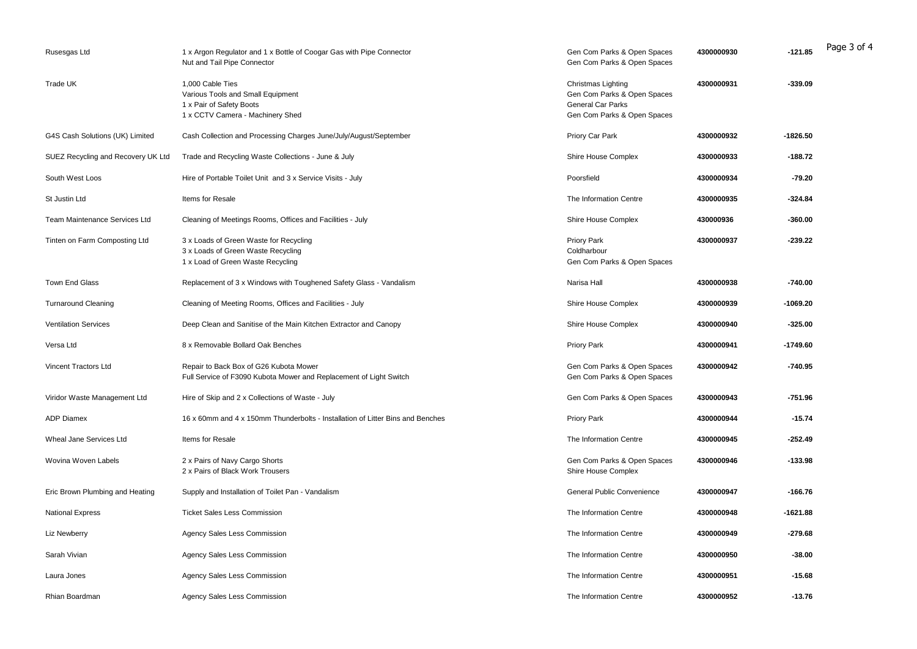| Rusesgas Ltd                       | 1 x Argon Regulator and 1 x Bottle of Coogar Gas with Pipe Connector<br>Nut and Tail Pipe Connector                   | Gen Com Parks & Open Spaces<br>Gen Com Parks & Open Spaces                                            | 4300000930 | $-121.85$  | Page 3 of 4 |
|------------------------------------|-----------------------------------------------------------------------------------------------------------------------|-------------------------------------------------------------------------------------------------------|------------|------------|-------------|
| Trade UK                           | 1,000 Cable Ties<br>Various Tools and Small Equipment<br>1 x Pair of Safety Boots<br>1 x CCTV Camera - Machinery Shed | Christmas Lighting<br>Gen Com Parks & Open Spaces<br>General Car Parks<br>Gen Com Parks & Open Spaces | 4300000931 | $-339.09$  |             |
| G4S Cash Solutions (UK) Limited    | Cash Collection and Processing Charges June/July/August/September                                                     | Priory Car Park                                                                                       | 4300000932 | -1826.50   |             |
| SUEZ Recycling and Recovery UK Ltd | Trade and Recycling Waste Collections - June & July                                                                   | Shire House Complex                                                                                   | 4300000933 | $-188.72$  |             |
| South West Loos                    | Hire of Portable Toilet Unit and 3 x Service Visits - July                                                            | Poorsfield                                                                                            | 4300000934 | $-79.20$   |             |
| St Justin Ltd                      | Items for Resale                                                                                                      | The Information Centre                                                                                | 4300000935 | $-324.84$  |             |
| Team Maintenance Services Ltd      | Cleaning of Meetings Rooms, Offices and Facilities - July                                                             | Shire House Complex                                                                                   | 430000936  | $-360.00$  |             |
| Tinten on Farm Composting Ltd      | 3 x Loads of Green Waste for Recycling<br>3 x Loads of Green Waste Recycling<br>1 x Load of Green Waste Recycling     | Priory Park<br>Coldharbour<br>Gen Com Parks & Open Spaces                                             | 4300000937 | $-239.22$  |             |
| Town End Glass                     | Replacement of 3 x Windows with Toughened Safety Glass - Vandalism                                                    | Narisa Hall                                                                                           | 4300000938 | $-740.00$  |             |
| <b>Turnaround Cleaning</b>         | Cleaning of Meeting Rooms, Offices and Facilities - July                                                              | Shire House Complex                                                                                   | 4300000939 | $-1069.20$ |             |
| <b>Ventilation Services</b>        | Deep Clean and Sanitise of the Main Kitchen Extractor and Canopy                                                      | Shire House Complex                                                                                   | 4300000940 | $-325.00$  |             |
| Versa Ltd                          | 8 x Removable Bollard Oak Benches                                                                                     | <b>Priory Park</b>                                                                                    | 4300000941 | -1749.60   |             |
| Vincent Tractors Ltd               | Repair to Back Box of G26 Kubota Mower<br>Full Service of F3090 Kubota Mower and Replacement of Light Switch          | Gen Com Parks & Open Spaces<br>Gen Com Parks & Open Spaces                                            | 4300000942 | $-740.95$  |             |
| Viridor Waste Management Ltd       | Hire of Skip and 2 x Collections of Waste - July                                                                      | Gen Com Parks & Open Spaces                                                                           | 4300000943 | $-751.96$  |             |
| <b>ADP Diamex</b>                  | 16 x 60mm and 4 x 150mm Thunderbolts - Installation of Litter Bins and Benches                                        | <b>Priory Park</b>                                                                                    | 4300000944 | $-15.74$   |             |
| Wheal Jane Services Ltd            | Items for Resale                                                                                                      | The Information Centre                                                                                | 4300000945 | $-252.49$  |             |
| Wovina Woven Labels                | 2 x Pairs of Navy Cargo Shorts<br>2 x Pairs of Black Work Trousers                                                    | Gen Com Parks & Open Spaces<br>Shire House Complex                                                    | 4300000946 | $-133.98$  |             |
| Eric Brown Plumbing and Heating    | Supply and Installation of Toilet Pan - Vandalism                                                                     | General Public Convenience                                                                            | 4300000947 | $-166.76$  |             |
| <b>National Express</b>            | <b>Ticket Sales Less Commission</b>                                                                                   | The Information Centre                                                                                | 4300000948 | $-1621.88$ |             |
| Liz Newberry                       | Agency Sales Less Commission                                                                                          | The Information Centre                                                                                | 4300000949 | $-279.68$  |             |
| Sarah Vivian                       | Agency Sales Less Commission                                                                                          | The Information Centre                                                                                | 4300000950 | $-38.00$   |             |
| Laura Jones                        | Agency Sales Less Commission                                                                                          | The Information Centre                                                                                | 4300000951 | $-15.68$   |             |
| Rhian Boardman                     | Agency Sales Less Commission                                                                                          | The Information Centre                                                                                | 4300000952 | $-13.76$   |             |